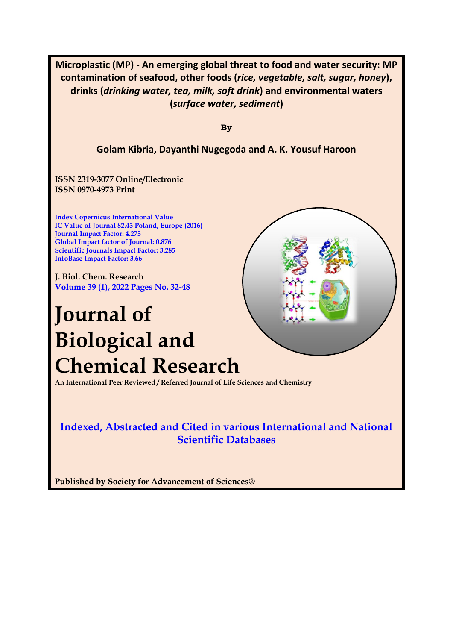**Microplastic (MP) - An emerging global threat to food and water security: MP contamination of seafood, other foods (***rice, vegetable, salt, sugar, honey***), drinks (***drinking water, tea, milk, soft drink***) and environmental waters (***surface water, sediment***)**

**By**

## **Golam Kibria, Dayanthi Nugegoda and A. K. Yousuf Haroon**

**ISSN 2319-3077 Online/Electronic ISSN 0970-4973 Print**

**Index Copernicus International Value IC Value of Journal 82.43 Poland, Europe (2016) Journal Impact Factor: 4.275 Global Impact factor of Journal: 0.876 Scientific Journals Impact Factor: 3.285 InfoBase Impact Factor: 3.66**

**J. Biol. Chem. Research Volume 39 (1), 2022 Pages No. 32-48**

# **Journal of Biological and Chemical Research**

**An International Peer Reviewed / Referred Journal of Life Sciences and Chemistry**

**Indexed, Abstracted and Cited in various International and National Scientific Databases**

**Published by Society for Advancement of Sciences®**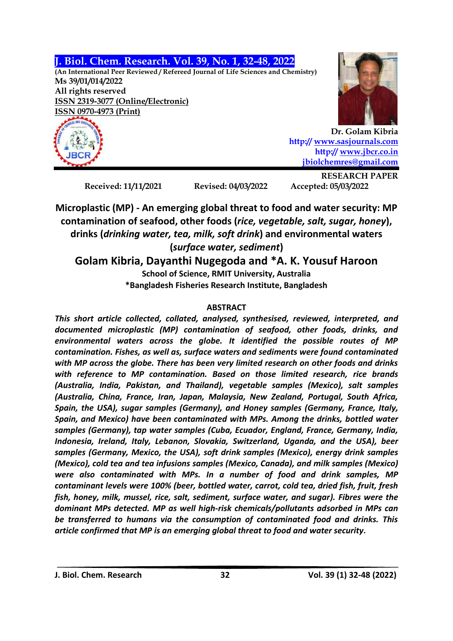**J. Biol. Chem. Research. Vol. 39, No. 1, 32-48, 2022**

**(An International Peer Reviewed / Refereed Journal of Life Sciences and Chemistry) Ms 39/01/014/2022 All rights reserved ISSN 2319-3077 (Online/Electronic) ISSN 0970-4973 (Print)**



**Dr. Golam Kibria http:/[/ www.sasjournals.com](http://www.sasjournals.com/) http:/[/ www.jbcr.co.in](http://www.jbcr.co.in/) [jbiolchemres@gmail.com](mailto:jbiolchemres@gmail.com)**

**Received: 11/11/2021 Revised: 04/03/2022 Accepted: 05/03/2022**

**RESEARCH PAPER**

**Microplastic (MP) - An emerging global threat to food and water security: MP contamination of seafood, other foods (***rice, vegetable, salt, sugar, honey***), drinks (***drinking water, tea, milk, soft drink***) and environmental waters (***surface water, sediment***)**

# **Golam Kibria, Dayanthi Nugegoda and \*A. K. Yousuf Haroon School of Science, RMIT University, Australia \*Bangladesh Fisheries Research Institute, Bangladesh**

# **ABSTRACT**

*This short article collected, collated, analysed, synthesised, reviewed, interpreted, and documented microplastic (MP) contamination of seafood, other foods, drinks, and environmental waters across the globe. It identified the possible routes of MP contamination. Fishes, as well as, surface waters and sediments were found contaminated with MP across the globe. There has been very limited research on other foods and drinks with reference to MP contamination. Based on those limited research, rice brands (Australia, India, Pakistan, and Thailand), vegetable samples (Mexico), salt samples (Australia, China, France, Iran, Japan, Malaysia, New Zealand, Portugal, South Africa, Spain, the USA), sugar samples (Germany), and Honey samples (Germany, France, Italy, Spain, and Mexico) have been contaminated with MPs. Among the drinks, bottled water samples (Germany), tap water samples (Cuba, Ecuador, England, France, Germany, India, Indonesia, Ireland, Italy, Lebanon, Slovakia, Switzerland, Uganda, and the USA), beer samples (Germany, Mexico, the USA), soft drink samples (Mexico), energy drink samples (Mexico), cold tea and tea infusions samples (Mexico, Canada), and milk samples (Mexico) were also contaminated with MPs. In a number of food and drink samples, MP contaminant levels were 100% (beer, bottled water, carrot, cold tea, dried fish, fruit, fresh fish, honey, milk, mussel, rice, salt, sediment, surface water, and sugar). Fibres were the dominant MPs detected. MP as well high-risk chemicals/pollutants adsorbed in MPs can be transferred to humans via the consumption of contaminated food and drinks. This article confirmed that MP is an emerging global threat to food and water security.*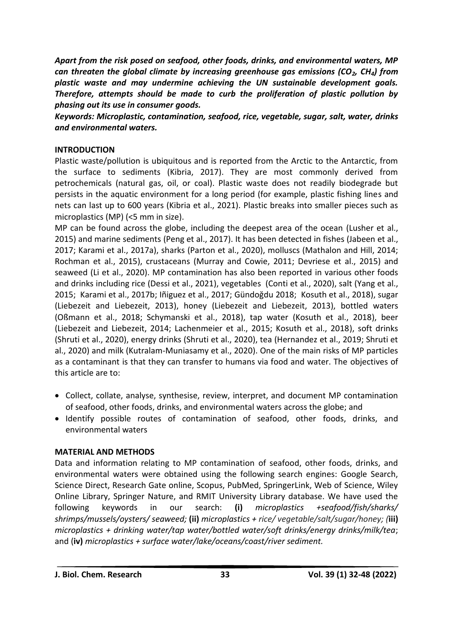*Apart from the risk posed on seafood, other foods, drinks, and environmental waters, MP can threaten the global climate by increasing greenhouse gas emissions (CO2, CH4) from plastic waste and may undermine achieving the UN sustainable development goals. Therefore, attempts should be made to curb the proliferation of plastic pollution by phasing out its use in consumer goods.* 

*Keywords: Microplastic, contamination, seafood, rice, vegetable, sugar, salt, water, drinks and environmental waters.*

## **INTRODUCTION**

Plastic waste/pollution is ubiquitous and is reported from the Arctic to the Antarctic, from the surface to sediments (Kibria, 2017). They are most commonly derived from petrochemicals (natural gas, oil, or coal). Plastic waste does not readily biodegrade but persists in the aquatic environment for a long period (for example, plastic fishing lines and nets can last up to 600 years (Kibria et al., 2021). Plastic breaks into smaller pieces such as microplastics (MP) (<5 mm in size).

MP can be found across the globe, including the deepest area of the ocean (Lusher et al., 2015) and marine sediments (Peng et al., 2017). It has been detected in fishes (Jabeen et al., 2017; Karami et al., 2017a), sharks (Parton et al., 2020), molluscs (Mathalon and Hill, 2014; Rochman et al., 2015), crustaceans (Murray and Cowie, 2011; Devriese et al., 2015) and seaweed (Li et al., 2020). MP contamination has also been reported in various other foods and drinks including rice (Dessi et al., 2021), vegetables (Conti et al., 2020), salt (Yang et al., 2015; Karami et al., 2017b; Iñiguez et al., 2017; Gündoğdu 2018; Kosuth et al., 2018), sugar (Liebezeit and Liebezeit, 2013), honey (Liebezeit and Liebezeit, 2013), bottled waters (Oßmann et al., 2018; Schymanski et al., 2018), tap water (Kosuth et al., 2018), beer (Liebezeit and Liebezeit, 2014; Lachenmeier et al., 2015; Kosuth et al., 2018), soft drinks (Shruti et al., 2020), energy drinks (Shruti et al., 2020), tea (Hernandez et al., 2019; Shruti et al., 2020) and milk (Kutralam-Muniasamy et al., 2020). One of the main risks of MP particles as a contaminant is that they can transfer to humans via food and water. The objectives of this article are to:

- Collect, collate, analyse, synthesise, review, interpret, and document MP contamination of seafood, other foods, drinks, and environmental waters across the globe; and
- Identify possible routes of contamination of seafood, other foods, drinks, and environmental waters

## **MATERIAL AND METHODS**

Data and information relating to MP contamination of seafood, other foods, drinks, and environmental waters were obtained using the following search engines: Google Search, Science Direct, Research Gate online, Scopus, PubMed, SpringerLink, Web of Science, Wiley Online Library, Springer Nature, and RMIT University Library database. We have used the following keywords in our search: **(i)** *microplastics +seafood/fish/sharks/ shrimps/mussels/oysters/ seaweed;* **(ii)** *microplastics + rice/ vegetable/salt/sugar/honey; (***iii)**  *microplastics + drinking water/tap water/bottled water/soft drinks/energy drinks/milk/tea*; and (**iv)** *microplastics + surface water/lake/oceans/coast/river sediment.*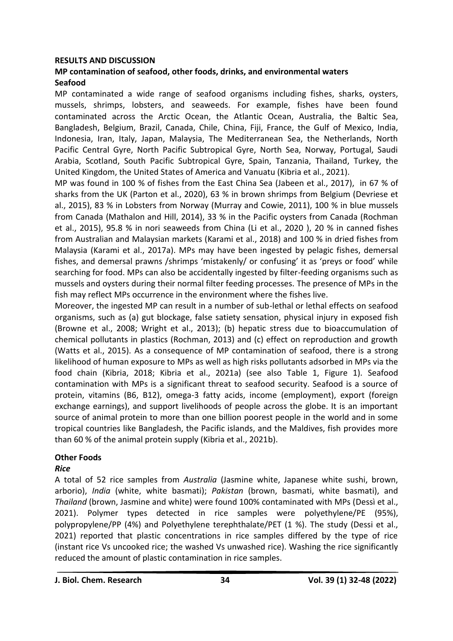#### **RESULTS AND DISCUSSION**

## **MP contamination of seafood, other foods, drinks, and environmental waters Seafood**

MP contaminated a wide range of seafood organisms including fishes, sharks, oysters, mussels, shrimps, lobsters, and seaweeds. For example, fishes have been found contaminated across the Arctic Ocean, the Atlantic Ocean, Australia, the Baltic Sea, Bangladesh, Belgium, Brazil, Canada, Chile, China, Fiji, France, the Gulf of Mexico, India, Indonesia, Iran, Italy, Japan, Malaysia, The Mediterranean Sea, the Netherlands, North Pacific Central Gyre, North Pacific Subtropical Gyre, North Sea, Norway, Portugal, Saudi Arabia, Scotland, South Pacific Subtropical Gyre, Spain, Tanzania, Thailand, Turkey, the United Kingdom, the United States of America and Vanuatu (Kibria et al., 2021).

MP was found in 100 % of fishes from the East China Sea (Jabeen et al., 2017), in 67 % of sharks from the UK (Parton et al., 2020), 63 % in brown shrimps from Belgium (Devriese et al., 2015), 83 % in Lobsters from Norway (Murray and Cowie, 2011), 100 % in blue mussels from Canada (Mathalon and Hill, 2014), 33 % in the Pacific oysters from Canada (Rochman et al., 2015), 95.8 % in nori seaweeds from China (Li et al., 2020 ), 20 % in canned fishes from Australian and Malaysian markets (Karami et al., 2018) and 100 % in dried fishes from Malaysia (Karami et al., 2017a). MPs may have been ingested by pelagic fishes, demersal fishes, and demersal prawns /shrimps 'mistakenly/ or confusing' it as 'preys or food' while searching for food. MPs can also be accidentally ingested by filter-feeding organisms such as mussels and oysters during their normal filter feeding processes. The presence of MPs in the fish may reflect MPs occurrence in the environment where the fishes live.

Moreover, the ingested MP can result in a number of sub-lethal or lethal effects on seafood organisms, such as (a) gut blockage, false satiety sensation, physical injury in exposed fish (Browne et al., 2008; Wright et al., 2013); (b) hepatic stress due to bioaccumulation of chemical pollutants in plastics (Rochman, 2013) and (c) effect on reproduction and growth (Watts et al., 2015). As a consequence of MP contamination of seafood, there is a strong likelihood of human exposure to MPs as well as high risks pollutants adsorbed in MPs via the food chain (Kibria, 2018; Kibria et al., 2021a) (see also Table 1, Figure 1). Seafood contamination with MPs is a significant threat to seafood security. Seafood is a source of protein, vitamins (B6, B12), omega-3 fatty acids, income (employment), export (foreign exchange earnings), and support livelihoods of people across the globe. It is an important source of animal protein to more than one billion poorest people in the world and in some tropical countries like Bangladesh, the Pacific islands, and the Maldives, fish provides more than 60 % of the animal protein supply (Kibria et al., 2021b).

## **Other Foods**

#### *Rice*

A total of 52 rice samples from *Australia* (Jasmine white, Japanese white sushi, brown, arborio), *India* (white, white basmati); *Pakistan* (brown, basmati, white basmati), and *Thailand* (brown, Jasmine and white) were found 100% contaminated with MPs (Dessì et al., 2021). Polymer types detected in rice samples were polyethylene/PE (95%), polypropylene/PP (4%) and Polyethylene terephthalate/PET (1 %). The study (Dessi et al., 2021) reported that plastic concentrations in rice samples differed by the type of rice (instant rice Vs uncooked rice; the washed Vs unwashed rice). Washing the rice significantly reduced the amount of plastic contamination in rice samples.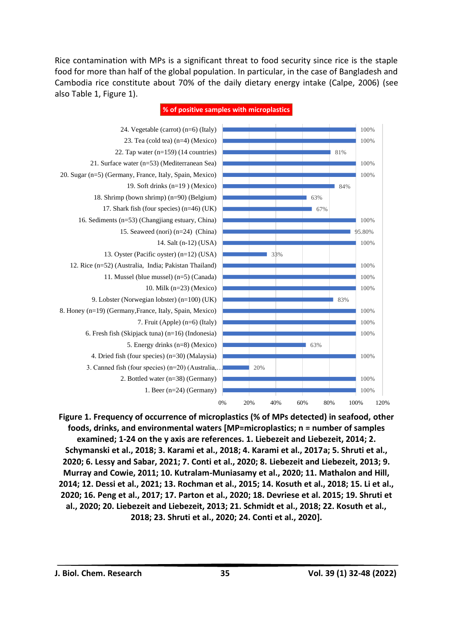Rice contamination with MPs is a significant threat to food security since rice is the staple food for more than half of the global population. In particular, in the case of Bangladesh and Cambodia rice constitute about 70% of the daily dietary energy intake (Calpe, 2006) (see also Table 1, Figure 1).



**% of positive samples with microplastics**

**Figure 1. Frequency of occurrence of microplastics (% of MPs detected) in seafood, other foods, drinks, and environmental waters [MP=microplastics; n = number of samples examined; 1-24 on the y axis are references. 1. Liebezeit and Liebezeit, 2014; 2. Schymanski et al., 2018; 3. Karami et al., 2018; 4. Karami et al., 2017a; 5. Shruti et al., 2020; 6. Lessy and Sabar, 2021; 7. Conti et al., 2020; 8. Liebezeit and Liebezeit, 2013; 9. Murray and Cowie, 2011; 10. Kutralam-Muniasamy et al., 2020; 11. Mathalon and Hill, 2014; 12. Dessi et al., 2021; 13. Rochman et al., 2015; 14. Kosuth et al., 2018; 15. Li et al., 2020; 16. Peng et al., 2017; 17. Parton et al., 2020; 18. Devriese et al. 2015; 19. Shruti et al., 2020; 20. Liebezeit and Liebezeit, 2013; 21. Schmidt et al., 2018; 22. Kosuth et al., 2018; 23. Shruti et al., 2020; 24. Conti et al., 2020].**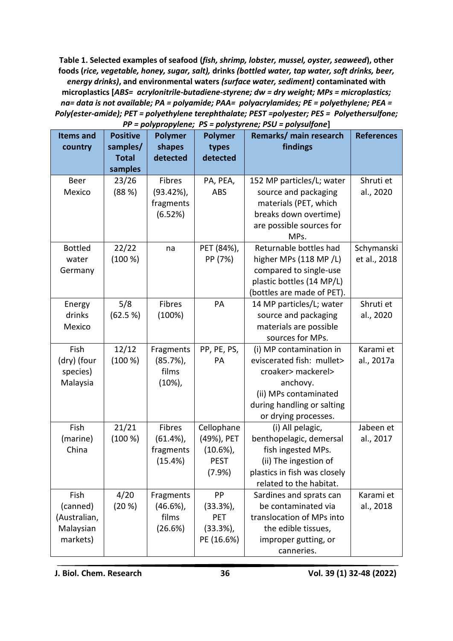**Table 1. Selected examples of seafood (***fish, shrimp, lobster, mussel, oyster, seaweed***), other foods (***rice, vegetable, honey, sugar, salt),* **drinks** *(bottled water, tap water, soft drinks, beer, energy drinks)***, and environmental waters** *(surface water, sediment)* **contaminated with microplastics [***ABS= acrylonitrile-butadiene-styrene; dw = dry weight; MPs = microplastics; na= data is not available; PA = polyamide; PAA= polyacrylamides; PE = polyethylene; PEA = Poly(ester-amide); PET = polyethylene terephthalate; PEST =polyester; PES = Polyethersulfone;* 

| <b>Items and</b> | <b>Positive</b> | <b>Polymer</b> | Remarks/ main research<br><b>Polymer</b> |                                        | <b>References</b> |
|------------------|-----------------|----------------|------------------------------------------|----------------------------------------|-------------------|
| country          | samples/        | shapes         | findings<br>types                        |                                        |                   |
|                  | <b>Total</b>    | detected       | detected                                 |                                        |                   |
|                  | samples         |                |                                          |                                        |                   |
| Beer             | 23/26           | Fibres         | PA, PEA,                                 | Shruti et<br>152 MP particles/L; water |                   |
| Mexico           | (88%)           | $(93.42\%)$    | <b>ABS</b>                               | source and packaging<br>al., 2020      |                   |
|                  |                 | fragments      |                                          | materials (PET, which                  |                   |
|                  |                 | (6.52%)        |                                          | breaks down overtime)                  |                   |
|                  |                 |                |                                          | are possible sources for               |                   |
|                  |                 |                |                                          | MPs.                                   |                   |
| <b>Bottled</b>   | 22/22           | na             | PET (84%),                               | Returnable bottles had                 | Schymanski        |
| water            | (100 %)         |                | PP (7%)                                  | higher MPs (118 MP/L)                  | et al., 2018      |
| Germany          |                 |                |                                          | compared to single-use                 |                   |
|                  |                 |                |                                          | plastic bottles (14 MP/L)              |                   |
|                  |                 |                |                                          | (bottles are made of PET).             |                   |
| Energy           | 5/8             | Fibres         | PA                                       | 14 MP particles/L; water               | Shruti et         |
| drinks           | (62.5 %)        | (100%)         |                                          | source and packaging<br>al., 2020      |                   |
| Mexico           |                 |                |                                          | materials are possible                 |                   |
|                  |                 |                |                                          | sources for MPs.                       |                   |
| Fish             | 12/12           | Fragments      | PP, PE, PS,                              | (i) MP contamination in                | Karami et         |
| (dry) (four      | (100 %)         | (85.7%)        | PA                                       | eviscerated fish: mullet>              | al., 2017a        |
| species)         |                 | films          |                                          | croaker> mackerel>                     |                   |
| Malaysia         |                 | $(10\%)$       |                                          | anchovy.                               |                   |
|                  |                 |                |                                          | (ii) MPs contaminated                  |                   |
|                  |                 |                |                                          | during handling or salting             |                   |
|                  |                 |                |                                          | or drying processes.                   |                   |
| Fish             | 21/21           | Fibres         | Cellophane                               | (i) All pelagic,                       | Jabeen et         |
| (marine)         | (100 %)         | (61.4%),       | (49%), PET                               | benthopelagic, demersal<br>al., 2017   |                   |
| China            |                 | fragments      | $(10.6\%)$                               | fish ingested MPs.                     |                   |
|                  |                 | (15.4%)        | <b>PEST</b>                              | (ii) The ingestion of                  |                   |
|                  |                 |                | (7.9%)                                   | plastics in fish was closely           |                   |
|                  |                 |                |                                          | related to the habitat.                |                   |
| Fish             | 4/20            | Fragments      | PP                                       | Sardines and sprats can                | Karami et         |
| (canned)         | (20 %)          | $(46.6\%)$     | $(33.3%)$ ,                              | be contaminated via<br>al., 2018       |                   |
| (Australian,     |                 | films          | PET                                      | translocation of MPs into              |                   |
| Malaysian        |                 | (26.6%)        | $(33.3\%)$ ,                             | the edible tissues,                    |                   |
| markets)         |                 |                | PE (16.6%)                               | improper gutting, or                   |                   |
|                  |                 |                |                                          | canneries.                             |                   |

*PP = polypropylene; PS = polystyrene; PSU = polysulfone***]**

**J. Biol. Chem. Research 36 Vol. 39 (1) 32-48 (2022)**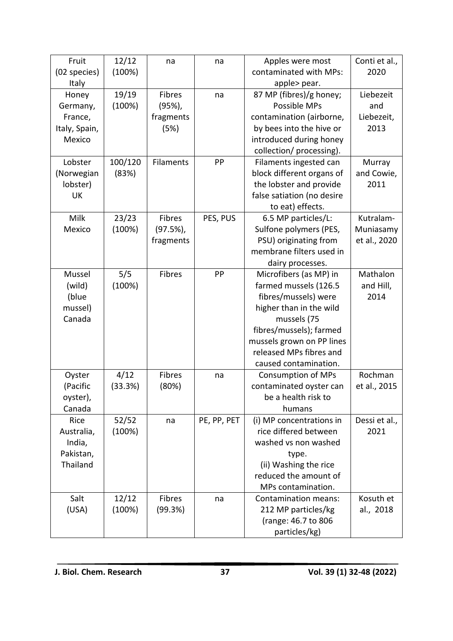| Fruit         | 12/12   | na               | na                           | Apples were most            | Conti et al., |
|---------------|---------|------------------|------------------------------|-----------------------------|---------------|
| (02 species)  | (100%)  |                  |                              | contaminated with MPs:      | 2020          |
| <b>Italy</b>  |         |                  |                              | apple> pear.                |               |
| Honey         | 19/19   | Fibres           | na                           | 87 MP (fibres)/g honey;     |               |
| Germany,      | (100%)  | (95%)            |                              | Possible MPs                | and           |
| France,       |         | fragments        |                              | contamination (airborne,    | Liebezeit,    |
| Italy, Spain, |         | (5%)             |                              | by bees into the hive or    | 2013          |
| Mexico        |         |                  |                              | introduced during honey     |               |
|               |         |                  |                              | collection/ processing).    |               |
| Lobster       | 100/120 | <b>Filaments</b> | PP<br>Filaments ingested can |                             | Murray        |
| (Norwegian    | (83%)   |                  |                              | block different organs of   | and Cowie,    |
| lobster)      |         |                  |                              | the lobster and provide     | 2011          |
| <b>UK</b>     |         |                  |                              | false satiation (no desire  |               |
|               |         |                  |                              | to eat) effects.            |               |
| Milk          | 23/23   | Fibres           | PES, PUS                     | 6.5 MP particles/L:         | Kutralam-     |
| Mexico        | (100%)  | (97.5%),         |                              | Sulfone polymers (PES,      | Muniasamy     |
|               |         | fragments        |                              | PSU) originating from       | et al., 2020  |
|               |         |                  |                              | membrane filters used in    |               |
|               |         |                  |                              | dairy processes.            |               |
| Mussel        | 5/5     | Fibres           | PP                           | Microfibers (as MP) in      | Mathalon      |
| (wild)        | (100%)  |                  |                              | farmed mussels (126.5       | and Hill,     |
| (blue         |         |                  |                              | fibres/mussels) were        | 2014          |
| mussel)       |         |                  |                              | higher than in the wild     |               |
| Canada        |         |                  |                              | mussels (75                 |               |
|               |         |                  |                              | fibres/mussels); farmed     |               |
|               |         |                  |                              | mussels grown on PP lines   |               |
|               |         |                  |                              | released MPs fibres and     |               |
|               |         |                  |                              | caused contamination.       |               |
| Oyster        | 4/12    | Fibres           | na                           | <b>Consumption of MPs</b>   | Rochman       |
| (Pacific      | (33.3%) | (80%)            |                              | contaminated oyster can     | et al., 2015  |
| oyster),      |         |                  |                              | be a health risk to         |               |
| Canada        |         |                  |                              | humans                      |               |
| Rice          | 52/52   | na               | PE, PP, PET                  | (i) MP concentrations in    | Dessi et al., |
| Australia,    | (100%)  |                  |                              | rice differed between       | 2021          |
| India,        |         |                  |                              | washed vs non washed        |               |
| Pakistan,     |         |                  |                              | type.                       |               |
| Thailand      |         |                  |                              | (ii) Washing the rice       |               |
|               |         |                  |                              | reduced the amount of       |               |
|               |         |                  |                              | MPs contamination.          |               |
| Salt          | 12/12   | Fibres           | na                           | <b>Contamination means:</b> | Kosuth et     |
| (USA)         | (100%)  | (99.3%)          |                              | 212 MP particles/kg         | al., 2018     |
|               |         |                  |                              | (range: 46.7 to 806         |               |
|               |         |                  |                              | particles/kg)               |               |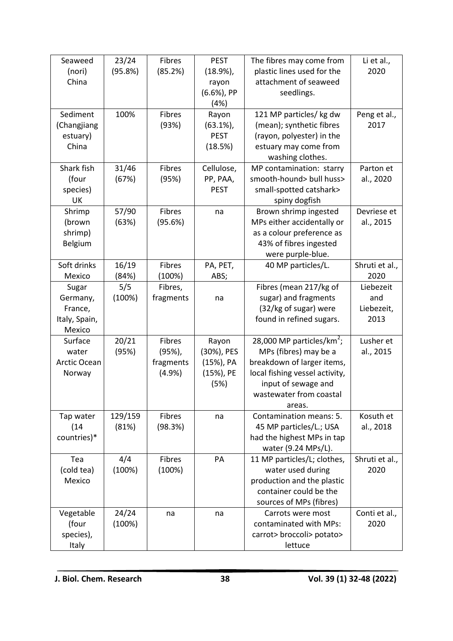| Seaweed       | 23/24   | Fibres    | <b>PEST</b> | The fibres may come from              | Li et al.,     |
|---------------|---------|-----------|-------------|---------------------------------------|----------------|
| (nori)        | (95.8%) | (85.2%)   | $(18.9\%)$  | plastic lines used for the            | 2020           |
| China         |         |           | rayon       | attachment of seaweed                 |                |
|               |         |           | (6.6%), PP  | seedlings.                            |                |
|               |         |           | (4%)        |                                       |                |
| Sediment      | 100%    | Fibres    | Rayon       | 121 MP particles/ kg dw               | Peng et al.,   |
| (Changjiang   |         | (93%)     | $(63.1\%)$  | (mean); synthetic fibres              | 2017           |
| estuary)      |         |           | <b>PEST</b> | (rayon, polyester) in the             |                |
| China         |         |           | (18.5%)     | estuary may come from                 |                |
|               |         |           |             | washing clothes.                      |                |
| Shark fish    | 31/46   | Fibres    | Cellulose,  | MP contamination: starry              | Parton et      |
| (four         | (67%)   | (95%)     | PP, PAA,    | smooth-hound> bull huss>              | al., 2020      |
| species)      |         |           | <b>PEST</b> | small-spotted catshark>               |                |
| UK            |         |           |             | spiny dogfish                         |                |
| Shrimp        | 57/90   | Fibres    | na          | Brown shrimp ingested                 | Devriese et    |
| (brown        | (63%)   | (95.6%)   |             | MPs either accidentally or            | al., 2015      |
| shrimp)       |         |           |             | as a colour preference as             |                |
| Belgium       |         |           |             | 43% of fibres ingested                |                |
|               |         |           |             | were purple-blue.                     |                |
| Soft drinks   | 16/19   | Fibres    | PA, PET,    | 40 MP particles/L.                    | Shruti et al., |
| Mexico        | (84%)   | (100%)    | ABS;        |                                       | 2020           |
| Sugar         | 5/5     | Fibres,   |             | Fibres (mean 217/kg of                | Liebezeit      |
| Germany,      | (100%)  | fragments | na          | sugar) and fragments                  | and            |
| France,       |         |           |             | (32/kg of sugar) were                 | Liebezeit,     |
| Italy, Spain, |         |           |             | found in refined sugars.              | 2013           |
| Mexico        |         |           |             |                                       |                |
| Surface       | 20/21   | Fibres    | Rayon       | 28,000 MP particles/km <sup>2</sup> ; | Lusher et      |
| water         | (95%)   | (95%)     | (30%), PES  | MPs (fibres) may be a                 | al., 2015      |
| Arctic Ocean  |         | fragments | (15%), PA   | breakdown of larger items,            |                |
| Norway        |         | (4.9%     | (15%), PE   | local fishing vessel activity,        |                |
|               |         |           | (5%)        | input of sewage and                   |                |
|               |         |           |             | wastewater from coastal               |                |
|               |         |           |             | areas.                                |                |
| Tap water     | 129/159 | Fibres    | na          | Contamination means: 5.               | Kosuth et      |
| (14)          | (81%)   | (98.3%)   |             | 45 MP particles/L.; USA               | al., 2018      |
| countries)*   |         |           |             | had the highest MPs in tap            |                |
|               |         |           |             | water (9.24 MPs/L).                   |                |
| Tea           | 4/4     | Fibres    | PA          | 11 MP particles/L; clothes,           | Shruti et al., |
| (cold tea)    | (100%)  | (100%)    |             | water used during                     | 2020           |
| Mexico        |         |           |             | production and the plastic            |                |
|               |         |           |             | container could be the                |                |
|               |         |           |             | sources of MPs (fibres)               |                |
| Vegetable     | 24/24   | na        | na          | Carrots were most                     | Conti et al.,  |
| (four         | (100%)  |           |             | contaminated with MPs:                | 2020           |
| species),     |         |           |             | carrot> broccoli> potato>             |                |
| Italy         |         |           |             | lettuce                               |                |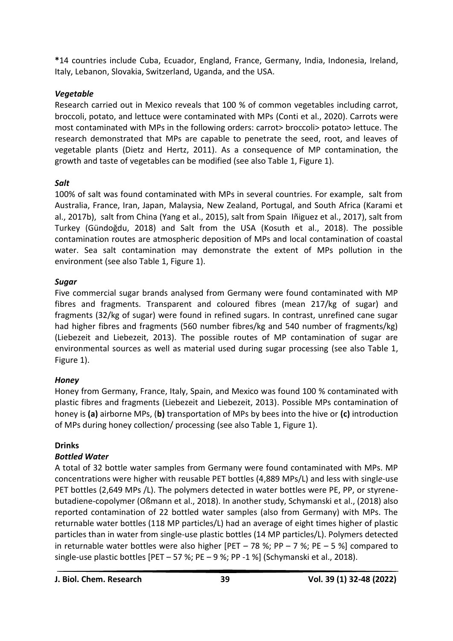**\***14 countries include Cuba, Ecuador, England, France, Germany, India, Indonesia, Ireland, Italy, Lebanon, Slovakia, Switzerland, Uganda, and the USA.

## *Vegetable*

Research carried out in Mexico reveals that 100 % of common vegetables including carrot, broccoli, potato, and lettuce were contaminated with MPs (Conti et al., 2020). Carrots were most contaminated with MPs in the following orders: carrot> broccoli> potato> lettuce. The research demonstrated that MPs are capable to penetrate the seed, root, and leaves of vegetable plants (Dietz and Hertz, 2011). As a consequence of MP contamination, the growth and taste of vegetables can be modified (see also Table 1, Figure 1).

## *Salt*

100% of salt was found contaminated with MPs in several countries. For example, salt from Australia, France, Iran, Japan, Malaysia, New Zealand, Portugal, and South Africa (Karami et al., 2017b), salt from China (Yang et al., 2015), salt from Spain Iñiguez et al., 2017), salt from Turkey (Gündoğdu, 2018) and Salt from the USA (Kosuth et al., 2018). The possible contamination routes are atmospheric deposition of MPs and local contamination of coastal water. Sea salt contamination may demonstrate the extent of MPs pollution in the environment (see also Table 1, Figure 1).

## *Sugar*

Five commercial sugar brands analysed from Germany were found contaminated with MP fibres and fragments. Transparent and coloured fibres (mean 217/kg of sugar) and fragments (32/kg of sugar) were found in refined sugars. In contrast, unrefined cane sugar had higher fibres and fragments (560 number fibres/kg and 540 number of fragments/kg) (Liebezeit and Liebezeit, 2013). The possible routes of MP contamination of sugar are environmental sources as well as material used during sugar processing (see also Table 1, Figure 1).

# *Honey*

Honey from Germany, France, Italy, Spain, and Mexico was found 100 % contaminated with plastic fibres and fragments (Liebezeit and Liebezeit, 2013). Possible MPs contamination of honey is **(a)** airborne MPs, (**b)** transportation of MPs by bees into the hive or **(c)** introduction of MPs during honey collection/ processing (see also Table 1, Figure 1).

# **Drinks**

# *Bottled Water*

A total of 32 bottle water samples from Germany were found contaminated with MPs. MP concentrations were higher with reusable PET bottles (4,889 MPs/L) and less with singl*e-*use PET bottles (2,649 MPs /L). The polymers detected in water bottles were PE, PP, or styrenebutadiene-copolymer (Oßmann et al., 2018). In another study, Schymanski et al., (2018) also reported contamination of 22 bottled water samples (also from Germany) with MPs. The returnable water bottles (118 MP particles/L) had an average of eight times higher of plastic particles than in water from single-use plastic bottles (14 MP particles/L). Polymers detected in returnable water bottles were also higher [PET – 78 %; PP – 7 %; PE – 5 %] compared to single-use plastic bottles [PET – 57 %; PE – 9 %; PP -1 %] (Schymanski et al., 2018).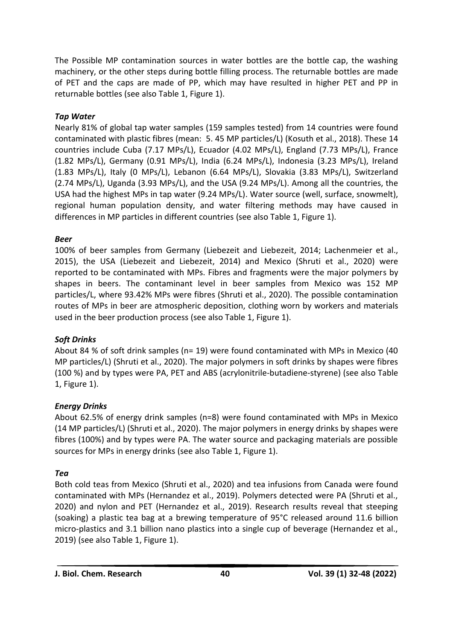The Possible MP contamination sources in water bottles are the bottle cap, the washing machinery, or the other steps during bottle filling process. The returnable bottles are made of PET and the caps are made of PP, which may have resulted in higher PET and PP in returnable bottles (see also Table 1, Figure 1).

# *Tap Water*

Nearly 81% of global tap water samples (159 samples tested) from 14 countries were found contaminated with plastic fibres (mean: 5. 45 MP particles/L) (Kosuth et al., 2018). These 14 countries include Cuba (7.17 MPs/L), Ecuador (4.02 MPs/L), England (7.73 MPs/L), France (1.82 MPs/L), Germany (0.91 MPs/L), India (6.24 MPs/L), Indonesia (3.23 MPs/L), Ireland (1.83 MPs/L), Italy (0 MPs/L), Lebanon (6.64 MPs/L), Slovakia (3.83 MPs/L), Switzerland (2.74 MPs/L), Uganda (3.93 MPs/L), and the USA (9.24 MPs/L). Among all the countries, the USA had the highest MPs in tap water (9.24 MPs/L). Water source (well, surface, snowmelt), regional human population density, and water filtering methods may have caused in differences in MP particles in different countries (see also Table 1, Figure 1).

# *Beer*

100% of beer samples from Germany (Liebezeit and Liebezeit, 2014; Lachenmeier et al., 2015), the USA (Liebezeit and Liebezeit, 2014) and Mexico (Shruti et al., 2020) were reported to be contaminated with MPs. Fibres and fragments were the major polymers by shapes in beers. The contaminant level in beer samples from Mexico was 152 MP particles/L, where 93.42% MPs were fibres (Shruti et al., 2020). The possible contamination routes of MPs in beer are atmospheric deposition, clothing worn by workers and materials used in the beer production process (see also Table 1, Figure 1).

# *Soft Drinks*

About 84 % of soft drink samples (n= 19) were found contaminated with MPs in Mexico (40 MP particles/L) (Shruti et al., 2020). The major polymers in soft drinks by shapes were fibres (100 %) and by types were PA, PET and ABS (acrylonitrile-butadiene-styrene) (see also Table 1, Figure 1).

# *Energy Drinks*

About 62.5% of energy drink samples (n=8) were found contaminated with MPs in Mexico (14 MP particles/L) (Shruti et al., 2020). The major polymers in energy drinks by shapes were fibres (100%) and by types were PA. The water source and packaging materials are possible sources for MPs in energy drinks (see also Table 1, Figure 1).

# *Tea*

Both cold teas from Mexico (Shruti et al., 2020) and tea infusions from Canada were found contaminated with MPs (Hernandez et al., 2019). Polymers detected were PA (Shruti et al., 2020) and nylon and PET (Hernandez et al., 2019). Research results reveal that steeping (soaking) a plastic tea bag at a brewing temperature of 95°C released around 11.6 billion micro-plastics and 3.1 billion nano plastics into a single cup of beverage (Hernandez et al., 2019) (see also Table 1, Figure 1).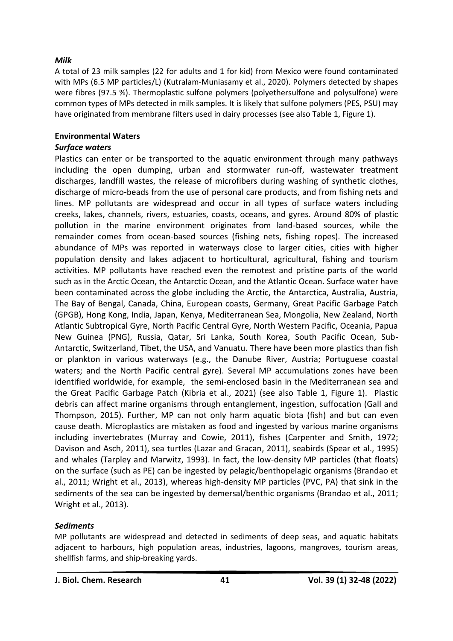## *Milk*

A total of 23 milk samples (22 for adults and 1 for kid) from Mexico were found contaminated with MPs (6.5 MP particles/L) (Kutralam-Muniasamy et al., 2020). Polymers detected by shapes were fibres (97.5 %). Thermoplastic sulfone polymers (polyethersulfone and polysulfone) were common types of MPs detected in milk samples. It is likely that sulfone polymers (PES, PSU) may have originated from membrane filters used in dairy processes (see also Table 1, Figure 1).

# **Environmental Waters**

## *Surface waters*

Plastics can enter or be transported to the aquatic environment through many pathways including the open dumping, urban and stormwater run-off, wastewater treatment discharges, landfill wastes, the release of microfibers during washing of synthetic clothes, discharge of micro-beads from the use of personal care products, and from fishing nets and lines. MP pollutants are widespread and occur in all types of surface waters including creeks, lakes, channels, rivers, estuaries, coasts, oceans, and gyres. Around 80% of plastic pollution in the marine environment originates from land-based sources, while the remainder comes from ocean-based sources (fishing nets, fishing ropes). The increased abundance of MPs was reported in waterways close to larger cities, cities with higher population density and lakes adjacent to horticultural, agricultural, fishing and tourism activities. MP pollutants have reached even the remotest and pristine parts of the world such as in the Arctic Ocean, the Antarctic Ocean, and the Atlantic Ocean. Surface water have been contaminated across the globe including the Arctic, the Antarctica, Australia, Austria, The Bay of Bengal, Canada, China, European coasts, Germany, Great Pacific Garbage Patch (GPGB), Hong Kong, India, Japan, Kenya, Mediterranean Sea, Mongolia, New Zealand, North Atlantic Subtropical Gyre, North Pacific Central Gyre, North Western Pacific, Oceania, Papua New Guinea (PNG), Russia, Qatar, Sri Lanka, South Korea, South Pacific Ocean, Sub-Antarctic, Switzerland, Tibet, the USA, and Vanuatu. There have been more plastics than fish or plankton in various waterways (e.g., the Danube River, Austria; Portuguese coastal waters; and the North Pacific central gyre). Several MP accumulations zones have been identified worldwide, for example, the semi-enclosed basin in the Mediterranean sea and the Great Pacific Garbage Patch (Kibria et al., 2021) (see also Table 1, Figure 1). Plastic debris can affect marine organisms through entanglement, ingestion, suffocation (Gall and Thompson, 2015). Further, MP can not only harm aquatic biota (fish) and but can even cause death. Microplastics are mistaken as food and ingested by various marine organisms including invertebrates (Murray and Cowie, 2011), fishes (Carpenter and Smith, 1972; Davison and Asch, 2011), sea turtles (Lazar and Gracan, 2011), seabirds (Spear et al., 1995) and whales (Tarpley and Marwitz, 1993). In fact, the low-density MP particles (that floats) on the surface (such as PE) can be ingested by pelagic/benthopelagic organisms (Brandao et al., 2011; Wright et al., 2013), whereas high-density MP particles (PVC, PA) that sink in the sediments of the sea can be ingested by demersal/benthic organisms (Brandao et al., 2011; Wright et al., 2013).

# *Sediments*

MP pollutants are widespread and detected in sediments of deep seas, and aquatic habitats adjacent to harbours, high population areas, industries, lagoons, mangroves, tourism areas, shellfish farms, and ship-breaking yards.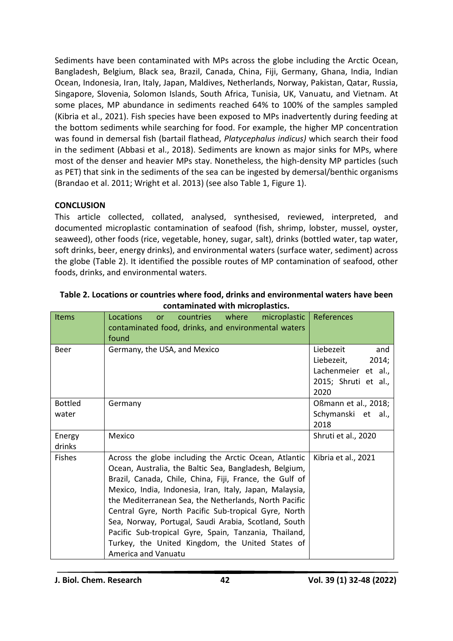Sediments have been contaminated with MPs across the globe including the Arctic Ocean, Bangladesh, Belgium, Black sea, Brazil, Canada, China, Fiji, Germany, Ghana, India, Indian Ocean, Indonesia, Iran, Italy, Japan, Maldives, Netherlands, Norway, Pakistan, Qatar, Russia, Singapore, Slovenia, Solomon Islands, South Africa, Tunisia, UK, Vanuatu, and Vietnam. At some places, MP abundance in sediments reached 64% to 100% of the samples sampled (Kibria et al., 2021). Fish species have been exposed to MPs inadvertently during feeding at the bottom sediments while searching for food. For example, the higher MP concentration was found in demersal fish (bartail flathead, *Platycephalus indicus)* which search their food in the sediment (Abbasi et al., 2018). Sediments are known as major sinks for MPs, where most of the denser and heavier MPs stay. Nonetheless, the high-density MP particles (such as PET) that sink in the sediments of the sea can be ingested by demersal/benthic organisms (Brandao et al. 2011; Wright et al. 2013) (see also Table 1, Figure 1).

## **CONCLUSION**

This article collected, collated, analysed, synthesised, reviewed, interpreted, and documented microplastic contamination of seafood (fish, shrimp, lobster, mussel, oyster, seaweed), other foods (rice, vegetable, honey, sugar, salt), drinks (bottled water, tap water, soft drinks, beer, energy drinks), and environmental waters (surface water, sediment) across the globe (Table 2). It identified the possible routes of MP contamination of seafood, other foods, drinks, and environmental waters.

| <b>Items</b>   | Locations<br>countries<br>where<br>microplastic<br><b>or</b><br>contaminated food, drinks, and environmental waters<br>found                                                                                                                                                                                                                                                                                                                                                                                                                       | References                                                                                     |
|----------------|----------------------------------------------------------------------------------------------------------------------------------------------------------------------------------------------------------------------------------------------------------------------------------------------------------------------------------------------------------------------------------------------------------------------------------------------------------------------------------------------------------------------------------------------------|------------------------------------------------------------------------------------------------|
| Beer           | Germany, the USA, and Mexico                                                                                                                                                                                                                                                                                                                                                                                                                                                                                                                       | Liebezeit<br>and<br>Liebezeit,<br>2014;<br>Lachenmeier et al.,<br>2015; Shruti et al.,<br>2020 |
| <b>Bottled</b> | Germany                                                                                                                                                                                                                                                                                                                                                                                                                                                                                                                                            | Oßmann et al., 2018;                                                                           |
| water          |                                                                                                                                                                                                                                                                                                                                                                                                                                                                                                                                                    | Schymanski et al.,<br>2018                                                                     |
| Energy         | Mexico                                                                                                                                                                                                                                                                                                                                                                                                                                                                                                                                             | Shruti et al., 2020                                                                            |
| drinks         |                                                                                                                                                                                                                                                                                                                                                                                                                                                                                                                                                    |                                                                                                |
| <b>Fishes</b>  | Across the globe including the Arctic Ocean, Atlantic<br>Ocean, Australia, the Baltic Sea, Bangladesh, Belgium,<br>Brazil, Canada, Chile, China, Fiji, France, the Gulf of<br>Mexico, India, Indonesia, Iran, Italy, Japan, Malaysia,<br>the Mediterranean Sea, the Netherlands, North Pacific<br>Central Gyre, North Pacific Sub-tropical Gyre, North<br>Sea, Norway, Portugal, Saudi Arabia, Scotland, South<br>Pacific Sub-tropical Gyre, Spain, Tanzania, Thailand,<br>Turkey, the United Kingdom, the United States of<br>America and Vanuatu | Kibria et al., 2021                                                                            |

| Table 2. Locations or countries where food, drinks and environmental waters have been |
|---------------------------------------------------------------------------------------|
| contaminated with microplastics.                                                      |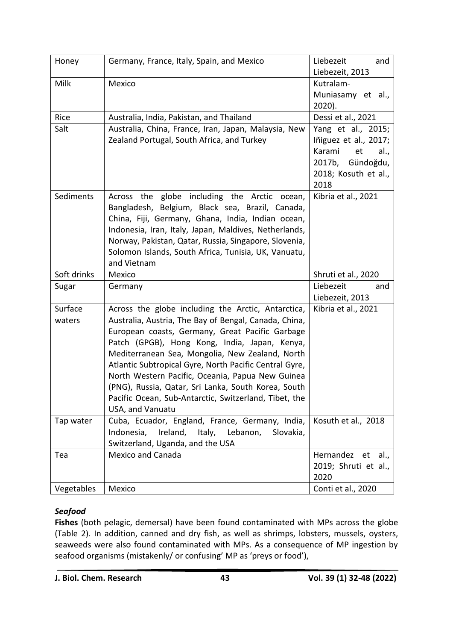| Honey             | Germany, France, Italy, Spain, and Mexico                                                                                                                                                                                                                                                                                                                                                                                                                                                                            | Liebezeit<br>and<br>Liebezeit, 2013                                                                                     |
|-------------------|----------------------------------------------------------------------------------------------------------------------------------------------------------------------------------------------------------------------------------------------------------------------------------------------------------------------------------------------------------------------------------------------------------------------------------------------------------------------------------------------------------------------|-------------------------------------------------------------------------------------------------------------------------|
| Milk              | Mexico                                                                                                                                                                                                                                                                                                                                                                                                                                                                                                               | Kutralam-<br>Muniasamy et al.,<br>2020).                                                                                |
| Rice              | Australia, India, Pakistan, and Thailand                                                                                                                                                                                                                                                                                                                                                                                                                                                                             | Dessì et al., 2021                                                                                                      |
| Salt              | Australia, China, France, Iran, Japan, Malaysia, New<br>Zealand Portugal, South Africa, and Turkey                                                                                                                                                                                                                                                                                                                                                                                                                   | Yang et al., 2015;<br>Iñiguez et al., 2017;<br>Karami<br>et<br>al.,<br>2017b, Gündoğdu,<br>2018; Kosuth et al.,<br>2018 |
| Sediments         | Across the globe including the Arctic ocean,<br>Bangladesh, Belgium, Black sea, Brazil, Canada,<br>China, Fiji, Germany, Ghana, India, Indian ocean,<br>Indonesia, Iran, Italy, Japan, Maldives, Netherlands,<br>Norway, Pakistan, Qatar, Russia, Singapore, Slovenia,<br>Solomon Islands, South Africa, Tunisia, UK, Vanuatu,<br>and Vietnam                                                                                                                                                                        | Kibria et al., 2021                                                                                                     |
| Soft drinks       | Mexico                                                                                                                                                                                                                                                                                                                                                                                                                                                                                                               | Shruti et al., 2020                                                                                                     |
| Sugar             | Germany                                                                                                                                                                                                                                                                                                                                                                                                                                                                                                              | Liebezeit<br>and<br>Liebezeit, 2013                                                                                     |
| Surface<br>waters | Across the globe including the Arctic, Antarctica,<br>Australia, Austria, The Bay of Bengal, Canada, China,<br>European coasts, Germany, Great Pacific Garbage<br>Patch (GPGB), Hong Kong, India, Japan, Kenya,<br>Mediterranean Sea, Mongolia, New Zealand, North<br>Atlantic Subtropical Gyre, North Pacific Central Gyre,<br>North Western Pacific, Oceania, Papua New Guinea<br>(PNG), Russia, Qatar, Sri Lanka, South Korea, South<br>Pacific Ocean, Sub-Antarctic, Switzerland, Tibet, the<br>USA, and Vanuatu | Kibria et al., 2021                                                                                                     |
| Tap water         | Cuba, Ecuador, England, France, Germany, India,<br>Ireland,<br>Indonesia,<br>Italy, Lebanon,<br>Slovakia,<br>Switzerland, Uganda, and the USA                                                                                                                                                                                                                                                                                                                                                                        | Kosuth et al., 2018                                                                                                     |
| Tea               | <b>Mexico and Canada</b>                                                                                                                                                                                                                                                                                                                                                                                                                                                                                             | Hernandez et al.,<br>2019; Shruti et al.,<br>2020                                                                       |
| Vegetables        | Mexico                                                                                                                                                                                                                                                                                                                                                                                                                                                                                                               | Conti et al., 2020                                                                                                      |

# *Seafood*

**Fishes** (both pelagic, demersal) have been found contaminated with MPs across the globe (Table 2). In addition, canned and dry fish, as well as shrimps, lobsters, mussels, oysters, seaweeds were also found contaminated with MPs. As a consequence of MP ingestion by seafood organisms (mistakenly/ or confusing' MP as 'preys or food'),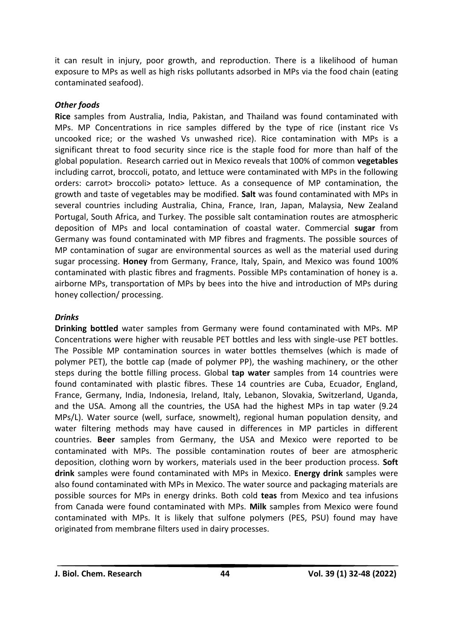it can result in injury, poor growth, and reproduction. There is a likelihood of human exposure to MPs as well as high risks pollutants adsorbed in MPs via the food chain (eating contaminated seafood).

## *Other foods*

**Rice** samples from Australia, India, Pakistan, and Thailand was found contaminated with MPs. MP Concentrations in rice samples differed by the type of rice (instant rice Vs uncooked rice; or the washed Vs unwashed rice). Rice contamination with MPs is a significant threat to food security since rice is the staple food for more than half of the global population. Research carried out in Mexico reveals that 100% of common **vegetables** including carrot, broccoli, potato, and lettuce were contaminated with MPs in the following orders: carrot> broccoli> potato> lettuce. As a consequence of MP contamination, the growth and taste of vegetables may be modified. **Salt** was found contaminated with MPs in several countries including Australia, China, France, Iran, Japan, Malaysia, New Zealand Portugal, South Africa, and Turkey. The possible salt contamination routes are atmospheric deposition of MPs and local contamination of coastal water. Commercial **sugar** from Germany was found contaminated with MP fibres and fragments. The possible sources of MP contamination of sugar are environmental sources as well as the material used during sugar processing. **Honey** from Germany, France, Italy, Spain, and Mexico was found 100% contaminated with plastic fibres and fragments. Possible MPs contamination of honey is a. airborne MPs, transportation of MPs by bees into the hive and introduction of MPs during honey collection/ processing.

## *Drinks*

**Drinking bottled** water samples from Germany were found contaminated with MPs. MP Concentrations were higher with reusable PET bottles and less with single-use PET bottles. The Possible MP contamination sources in water bottles themselves (which is made of polymer PET), the bottle cap (made of polymer PP), the washing machinery, or the other steps during the bottle filling process. Global **tap water** samples from 14 countries were found contaminated with plastic fibres. These 14 countries are Cuba, Ecuador, England, France, Germany, India, Indonesia, Ireland, Italy, Lebanon, Slovakia, Switzerland, Uganda, and the USA. Among all the countries, the USA had the highest MPs in tap water (9.24 MPs/L). Water source (well, surface, snowmelt), regional human population density, and water filtering methods may have caused in differences in MP particles in different countries. **Beer** samples from Germany, the USA and Mexico were reported to be contaminated with MPs. The possible contamination routes of beer are atmospheric deposition, clothing worn by workers, materials used in the beer production process. **Soft drink** samples were found contaminated with MPs in Mexico. **Energy drink** samples were also found contaminated with MPs in Mexico. The water source and packaging materials are possible sources for MPs in energy drinks. Both cold **teas** from Mexico and tea infusions from Canada were found contaminated with MPs. **Milk** samples from Mexico were found contaminated with MPs. It is likely that sulfone polymers (PES, PSU) found may have originated from membrane filters used in dairy processes.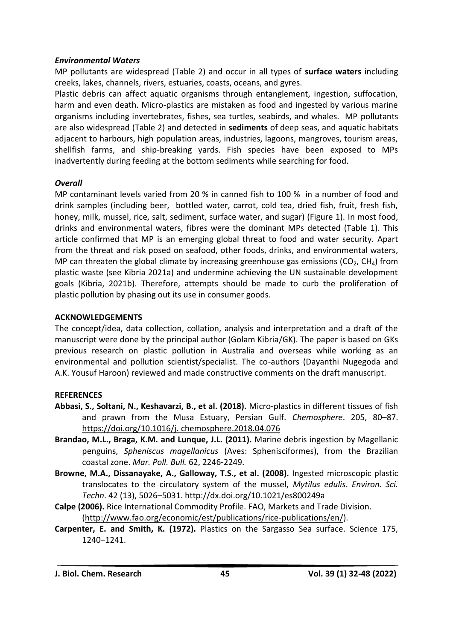#### *Environmental Waters*

MP pollutants are widespread (Table 2) and occur in all types of **surface waters** including creeks, lakes, channels, rivers, estuaries, coasts, oceans, and gyres.

Plastic debris can affect aquatic organisms through entanglement, ingestion, suffocation, harm and even death. Micro-plastics are mistaken as food and ingested by various marine organisms including invertebrates, fishes, sea turtles, seabirds, and whales. MP pollutants are also widespread (Table 2) and detected in **sediments** of deep seas, and aquatic habitats adjacent to harbours, high population areas, industries, lagoons, mangroves, tourism areas, shellfish farms, and ship-breaking yards. Fish species have been exposed to MPs inadvertently during feeding at the bottom sediments while searching for food.

## *Overall*

MP contaminant levels varied from 20 % in canned fish to 100 % in a number of food and drink samples (including beer, bottled water, carrot, cold tea, dried fish, fruit, fresh fish, honey, milk, mussel, rice, salt, sediment, surface water, and sugar) (Figure 1). In most food, drinks and environmental waters, fibres were the dominant MPs detected (Table 1). This article confirmed that MP is an emerging global threat to food and water security. Apart from the threat and risk posed on seafood, other foods, drinks, and environmental waters, MP can threaten the global climate by increasing greenhouse gas emissions ( $CO<sub>2</sub>$ , CH<sub>4</sub>) from plastic waste (see Kibria 2021a) and undermine achieving the UN sustainable development goals (Kibria, 2021b). Therefore, attempts should be made to curb the proliferation of plastic pollution by phasing out its use in consumer goods.

## **ACKNOWLEDGEMENTS**

The concept/idea, data collection, collation, analysis and interpretation and a draft of the manuscript were done by the principal author (Golam Kibria/GK). The paper is based on GKs previous research on plastic pollution in Australia and overseas while working as an environmental and pollution scientist/specialist. The co-authors (Dayanthi Nugegoda and A.K. Yousuf Haroon) reviewed and made constructive comments on the draft manuscript.

## **REFERENCES**

- **Abbasi, S., Soltani, N., Keshavarzi, B., et al. (2018).** Micro-plastics in different tissues of fish and prawn from the Musa Estuary, Persian Gulf. *Chemosphere*. 205, 80–87. [https://doi.org/10.1016/j. chemosphere.2018.04.076](https://doi.org/10.1016/j.%20chemosphere.2018.04.076)
- **Brandao, M.L., Braga, K.M. and Lunque, J.L. (2011).** Marine debris ingestion by Magellanic penguins, *Spheniscus magellanicus* (Aves: Sphenisciformes), from the Brazilian coastal zone. *Mar. Poll. Bull.* 62, 2246-2249.
- **Browne, M.A., Dissanayake, A., Galloway, T.S., et al. (2008).** Ingested microscopic plastic translocates to the circulatory system of the mussel, *Mytilus edulis*. *Environ. Sci. Techn*. 42 (13), 5026–5031.<http://dx.doi.org/10.1021/es800249a>
- **Calpe (2006).** Rice International Commodity Profile. FAO, Markets and Trade Division. [\(http://www.fao.org/economic/est/publications/rice-publications/en/\)](http://www.fao.org/economic/est/publications/rice-publications/en/).
- **Carpenter, E. and Smith, K. (1972).** Plastics on the Sargasso Sea surface. Science 175, 1240−1241.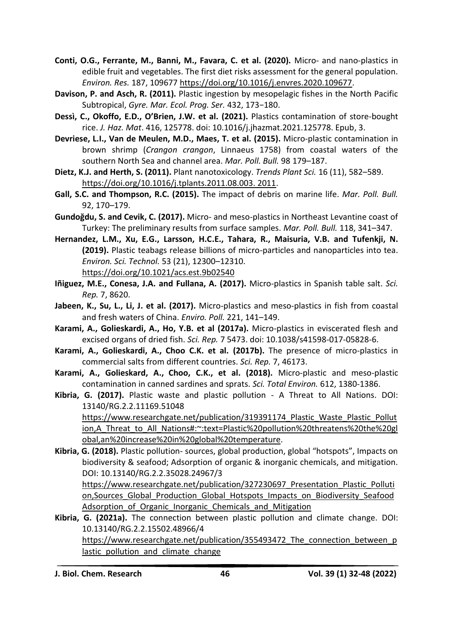- **Conti, O.G., Ferrante, M., Banni, M., Favara, C. et al. (2020).** Micro- and nano-plastics in edible fruit and vegetables. The first diet risks assessment for the general population. *Environ. Res.* 187, 109677 [https://doi.org/10.1016/j.envres.2020.109677.](https://doi.org/10.1016/j.envres.2020.109677)
- **Davison, P. and Asch, R. (2011).** Plastic ingestion by mesopelagic fishes in the North Pacific Subtropical, *Gyre. Mar. Ecol. Prog. Ser.* 432, 173−180.
- **Dessì, C., Okoffo, E.D., O'Brien, J.W. et al. (2021).** Plastics contamination of store-bought rice. *J. Haz. Mat*. 416, 125778. doi: 10.1016/j.jhazmat.2021.125778. Epub, 3.
- **Devriese, L.I., Van de Meulen, M.D., Maes, T. et al. (2015).** Micro-plastic contamination in brown shrimp (*Crangon crangon*, Linnaeus 1758) from coastal waters of the southern North Sea and channel area. *Mar. Poll. Bull.* 98 179–187.
- **Dietz, K.J. and Herth, S. (2011).** Plant nanotoxicology. *Trends Plant Sci.* 16 (11), 582–589. [https://doi.org/10.1016/j.tplants.2011.08.003. 2011.](https://doi.org/10.1016/j.tplants.2011.08.003.%202011)
- **Gall, S.C. and Thompson, R.C. (2015).** The impact of debris on marine life. *Mar. Poll. Bull.* 92, 170–179.
- **Gundoğdu, S. and Cevik, C. (2017).** Micro- and meso-plastics in Northeast Levantine coast of Turkey: The preliminary results from surface samples. *Mar. Poll. Bull.* 118, 341–347.
- **Hernandez, L.M., Xu, E.G., Larsson, H.C.E., Tahara, R., Maisuria, V.B. and Tufenkji, N. (2019).** Plastic teabags release billions of micro-particles and nanoparticles into tea. *Environ. Sci. Technol.* 53 (21), 12300–12310. <https://doi.org/10.1021/acs.est.9b02540>
- **Iñiguez, M.E., Conesa, J.A. and Fullana, A. (2017).** Micro-plastics in Spanish table salt. *Sci. Rep.* 7, 8620.
- **Jabeen, K., Su, L., Li, J. et al. (2017).** Micro-plastics and meso-plastics in fish from coastal and fresh waters of China. *Enviro. Poll.* 221, 141–149.
- **Karami, A., Golieskardi, A., Ho, Y.B. et al (2017a).** Micro-plastics in eviscerated flesh and excised organs of dried fish. *Sci. Rep.* 7 5473. doi: 10.1038/s41598-017-05828-6.
- **Karami, A., Golieskardi, A., Choo C.K. et al. (2017b).** The presence of micro-plastics in commercial salts from different countries. *Sci. Rep.* 7, 46173.
- **[Karami, A.](https://www.ncbi.nlm.nih.gov/pubmed/?term=Karami%20A%5BAuthor%5D&cauthor=true&cauthor_uid=28898945), [Golieskard,](https://www.ncbi.nlm.nih.gov/pubmed/?term=Golieskardi%20A%5BAuthor%5D&cauthor=true&cauthor_uid=28898945) A., [Choo,](https://www.ncbi.nlm.nih.gov/pubmed/?term=Choo%20CK%5BAuthor%5D&cauthor=true&cauthor_uid=28898945) C.K., et al. (2018).** Micro-plastic and meso-plastic contamination in canned sardines and sprats. *[Sci. Total Environ.](https://www.ncbi.nlm.nih.gov/pubmed/28898945)* 612, 1380-1386.
- **Kibria, G. (2017).** Plastic waste and plastic pollution A Threat to All Nations. DOI: 13140/RG.2.2.11169.51048 https://www.researchgate.net/publication/319391174 Plastic\_Waste\_Plastic\_Pollut [ion,A\\_Threat\\_to\\_All\\_Nations#:~:text=Plastic%20pollution%20threatens%20the%20gl](https://www.researchgate.net/publication/319391174_Plastic_Waste_Plastic_Pollution,A_Threat_to_All_Nations#:~:text=Plastic%20pollution%20threatens%20the%20global,an%20increase%20in%20global%20temperature)

[obal,an%20increase%20in%20global%20temperature.](https://www.researchgate.net/publication/319391174_Plastic_Waste_Plastic_Pollution,A_Threat_to_All_Nations#:~:text=Plastic%20pollution%20threatens%20the%20global,an%20increase%20in%20global%20temperature)

**Kibria, G. (2018).** Plastic pollution- sources, global production, global "hotspots", Impacts on biodiversity & seafood; Adsorption of organic & inorganic chemicals, and mitigation. DOI: 10.13140/RG.2.2.35028.24967/3

https://www.researchgate.net/publication/327230697 Presentation Plastic Polluti [on,Sources\\_Global\\_Production\\_Global\\_Hotspots\\_Impacts\\_on\\_Biodiversity\\_Seafood](https://www.researchgate.net/publication/327230697_Presentation_Plastic_Pollution,Sources_Global_Production_Global_Hotspots_Impacts_on_Biodiversity_SeafoodAdsorption_of_Organic_Inorganic_Chemicals_and_Mitigation) Adsorption of Organic Inorganic Chemicals and Mitigation

**Kibria, G. (2021a).** The connection between plastic pollution and climate change. DOI: 10.13140/RG.2.2.15502.48966/4 https://www.researchgate.net/publication/355493472 The connection between p lastic pollution and climate change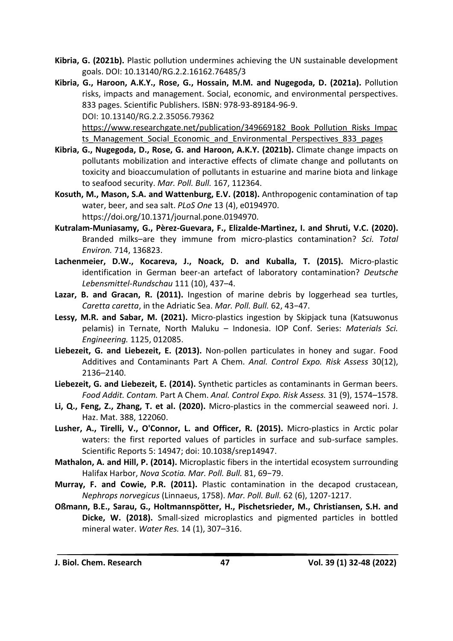- **Kibria, G. (2021b).** Plastic pollution undermines achieving the UN sustainable development goals. DOI: 10.13140/RG.2.2.16162.76485/3
- **Kibria, G., Haroon, A.K.Y., Rose, G., Hossain, M.M. and Nugegoda, D. (2021a).** Pollution risks, impacts and management. Social, economic, and environmental perspectives. 833 pages. Scientific Publishers. ISBN: 978-93-89184-96-9. DOI: 10.13140/RG.2.2.35056.79362 [https://www.researchgate.net/publication/349669182\\_Book\\_Pollution\\_Risks\\_Impac](https://www.researchgate.net/publication/349669182_Book_Pollution_Risks_Impacts_Management_Social_Economic_and_Environmental_Perspectives_833_pages)

ts Management Social Economic and Environmental Perspectives 833 pages

- **Kibria, G., Nugegoda, D., Rose, G. and Haroon, A.K.Y. (2021b).** Climate change impacts on pollutants mobilization and interactive effects of climate change and pollutants on toxicity and bioaccumulation of pollutants in estuarine and marine biota and linkage to seafood security. *Mar. Poll. Bull.* 167, 112364.
- **Kosuth, M., Mason, S.A. and Wattenburg, E.V. (2018).** Anthropogenic contamination of tap water, beer, and sea salt. *PLoS One* 13 (4), e0194970. https://doi.org/10.1371/journal.pone.0194970.
- **Kutralam-Muniasamy, G., Pèrez-Guevara, F., Elizalde-Martìnez, I. and Shruti, V.C. (2020).**  Branded milks–are they immune from micro-plastics contamination? *Sci. Total Environ.* 714, 136823.
- **Lachenmeier, D.W., Kocareva, J., Noack, D. and Kuballa, T. (2015).** Micro-plastic identification in German beer-an artefact of laboratory contamination? *Deutsche Lebensmittel-Rundschau* 111 (10), 437–4.
- **Lazar, B. and Gracan, R. (2011).** Ingestion of marine debris by loggerhead sea turtles, *Caretta caretta*, in the Adriatic Sea. *Mar. Poll. Bull.* 62, 43−47.
- **Lessy, M.R. and Sabar, M. (2021).** Micro-plastics ingestion by Skipjack tuna (Katsuwonus pelamis) in Ternate, North Maluku – Indonesia. IOP Conf. Series: *Materials Sci. Engineering.* 1125, 012085.
- **Liebezeit, G. and Liebezeit, E. (2013).** Non-pollen particulates in honey and sugar. Food Additives and Contaminants Part A Chem. *Anal. Control Expo. Risk Assess* 30(12), 2136–2140.
- **Liebezeit, G. and Liebezeit, E. (2014).** Synthetic particles as contaminants in German beers. *Food Addit. Contam.* Part A Chem. *Anal. Control Expo. Risk Assess.* 31 (9), 1574–1578.
- **Li, Q., Feng, Z., Zhang, T. et al. (2020).** Micro-plastics in the commercial seaweed nori. J. Haz. Mat. 388, 122060.
- **Lusher, A., Tirelli, V., O'Connor, L. and Officer, R. (2015).** Micro-plastics in Arctic polar waters: the first reported values of particles in surface and sub-surface samples. Scientific Reports 5: 14947; doi: 10.1038/srep14947.
- **Mathalon, A. and Hill, P. (2014).** Microplastic fibers in the intertidal ecosystem surrounding Halifax Harbor, *Nova Scotia. Mar. Poll. Bull.* 81, 69−79.
- **Murray, F. and Cowie, P.R. (2011).** Plastic contamination in the decapod crustacean, *Nephrops norvegicus* (Linnaeus, 1758). *Mar. Poll. Bull.* 62 (6), 1207-1217.
- **Oßmann, B.E., Sarau, G., Holtmannspötter, H., Pischetsrieder, M., Christiansen, S.H. and Dicke, W. (2018).** Small-sized microplastics and pigmented particles in bottled mineral water. *Water Res.* 14 (1), 307–316.